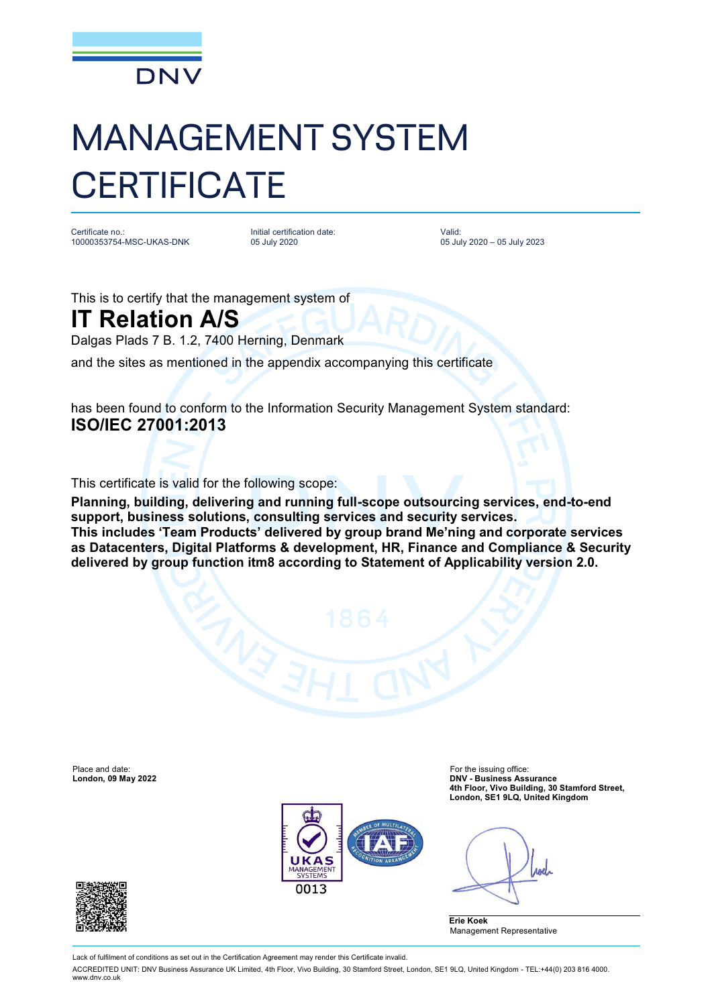

## MANAGEMENT SYSTEM **CERTIFICATE**

Certificate no.: 10000353754-MSC-UKAS-DNK Initial certification date: 05 July 2020

Valid: 05 July 2020 – 05 July 2023

This is to certify that the management system of

## **IT Relation A/S**

Dalgas Plads 7 B. 1.2, 7400 Herning, Denmark

and the sites as mentioned in the appendix accompanying this certificate

has been found to conform to the Information Security Management System standard: **ISO/IEC 27001:2013**

This certificate is valid for the following scope:

**Planning, building, delivering and running full-scope outsourcing services, end-to-end support, business solutions, consulting services and security services. This includes 'Team Products' delivered by group brand Me'ning and corporate services as Datacenters, Digital Platforms & development, HR, Finance and Compliance & Security delivered by group function itm8 according to Statement of Applicability version 2.0.**

Place and date: For the issuing office:<br> **Place and date:** For the issuing office:<br> **DNV - Business Ass** 



**London, 09 May 2022 DNV - Business Assurance 4th Floor, Vivo Building, 30 Stamford Street, London, SE1 9LQ, United Kingdom**

*ABO* 





Lack of fulfilment of conditions as set out in the Certification Agreement may render this Certificate invalid.

ACCREDITED UNIT: DNV Business Assurance UK Limited, 4th Floor, Vivo Building, 30 Stamford Street, London, SE1 9LQ, United Kingdom - TEL:+44(0) 203 816 4000. [www.dnv.co.uk](http://www.dnv.co.uk)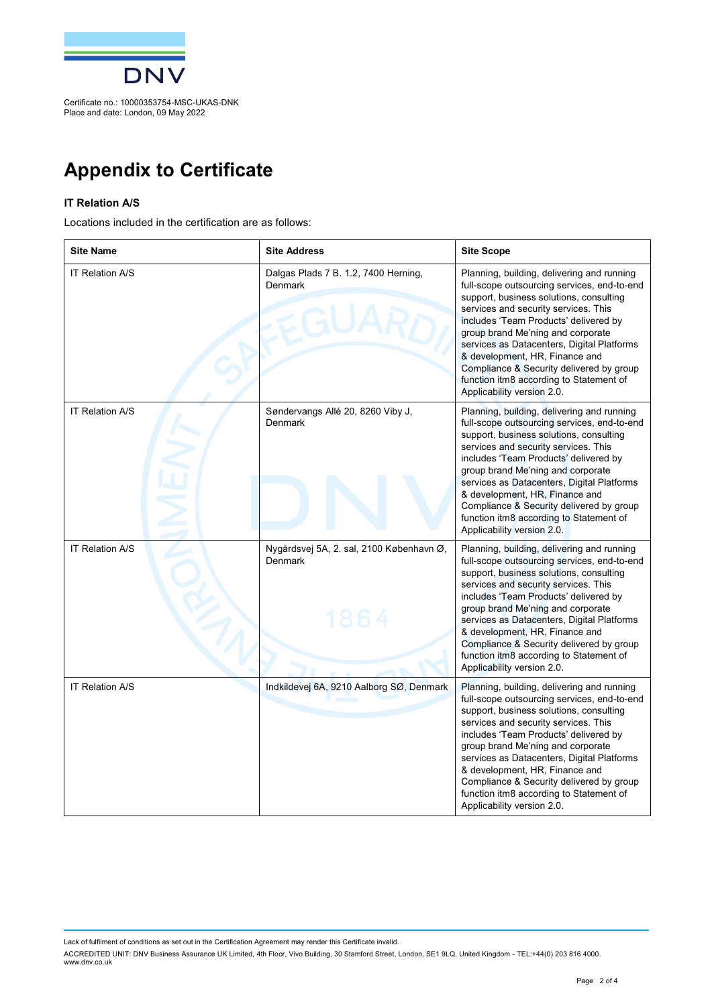

## **Appendix to Certificate**

## **IT Relation A/S**

Locations included in the certification are as follows:

| <b>Site Name</b>       | <b>Site Address</b>                                         | <b>Site Scope</b>                                                                                                                                                                                                                                                                                                                                                                                                                                               |
|------------------------|-------------------------------------------------------------|-----------------------------------------------------------------------------------------------------------------------------------------------------------------------------------------------------------------------------------------------------------------------------------------------------------------------------------------------------------------------------------------------------------------------------------------------------------------|
| <b>IT Relation A/S</b> | Dalgas Plads 7 B. 1.2, 7400 Herning,<br>Denmark             | Planning, building, delivering and running<br>full-scope outsourcing services, end-to-end<br>support, business solutions, consulting<br>services and security services. This<br>includes 'Team Products' delivered by<br>group brand Me'ning and corporate<br>services as Datacenters, Digital Platforms<br>& development, HR, Finance and<br>Compliance & Security delivered by group<br>function itm8 according to Statement of<br>Applicability version 2.0. |
| <b>IT Relation A/S</b> | Søndervangs Allé 20, 8260 Viby J,<br>Denmark                | Planning, building, delivering and running<br>full-scope outsourcing services, end-to-end<br>support, business solutions, consulting<br>services and security services. This<br>includes 'Team Products' delivered by<br>group brand Me'ning and corporate<br>services as Datacenters, Digital Platforms<br>& development, HR, Finance and<br>Compliance & Security delivered by group<br>function itm8 according to Statement of<br>Applicability version 2.0. |
| <b>IT Relation A/S</b> | Nygårdsvej 5A, 2. sal, 2100 København Ø,<br>Denmark<br>1864 | Planning, building, delivering and running<br>full-scope outsourcing services, end-to-end<br>support, business solutions, consulting<br>services and security services. This<br>includes 'Team Products' delivered by<br>group brand Me'ning and corporate<br>services as Datacenters, Digital Platforms<br>& development, HR, Finance and<br>Compliance & Security delivered by group<br>function itm8 according to Statement of<br>Applicability version 2.0. |
| <b>IT Relation A/S</b> | Indkildevej 6A, 9210 Aalborg SØ, Denmark                    | Planning, building, delivering and running<br>full-scope outsourcing services, end-to-end<br>support, business solutions, consulting<br>services and security services. This<br>includes 'Team Products' delivered by<br>group brand Me'ning and corporate<br>services as Datacenters, Digital Platforms<br>& development, HR, Finance and<br>Compliance & Security delivered by group<br>function itm8 according to Statement of<br>Applicability version 2.0. |

Lack of fulfilment of conditions as set out in the Certification Agreement may render this Certificate invalid.

ACCREDITED UNIT: DNV Business Assurance UK Limited, 4th Floor, Vivo Building, 30 Stamtord Street, London, SE1 9LQ, United Kingdom - TEL:+44(0) 203 816 4000.<br>[www.dnv.co.uk](http://www.dnv.co.uk)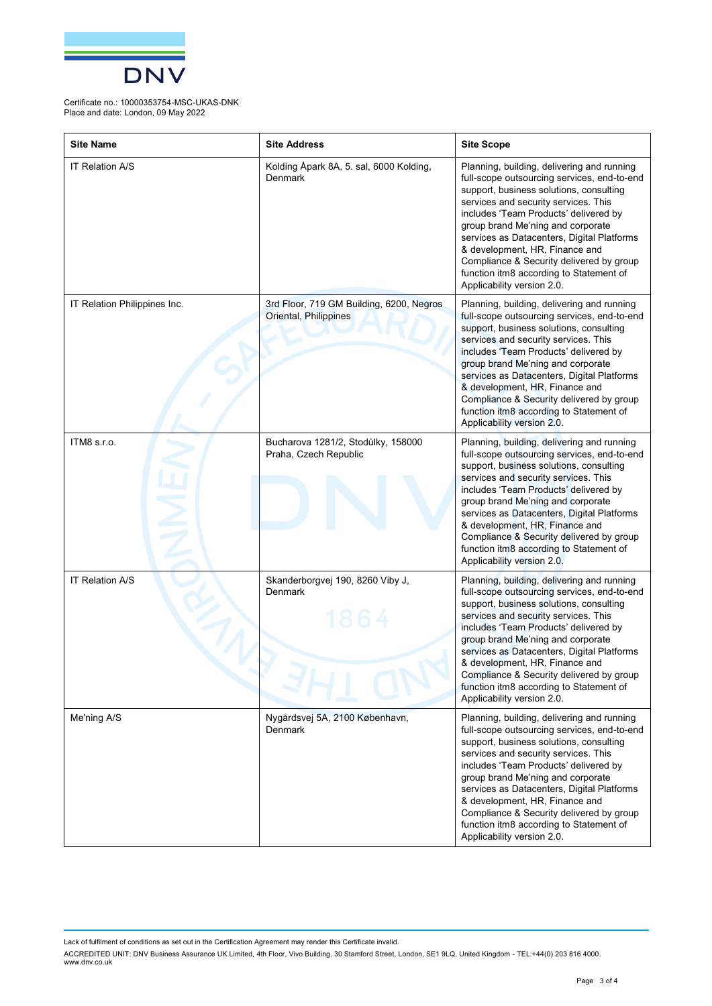

Certificate no.: 10000353754-MSC-UKAS-DNK Place and date: London, 09 May 2022

| <b>Site Name</b>             | <b>Site Address</b>                                               | <b>Site Scope</b>                                                                                                                                                                                                                                                                                                                                                                                                                                               |
|------------------------------|-------------------------------------------------------------------|-----------------------------------------------------------------------------------------------------------------------------------------------------------------------------------------------------------------------------------------------------------------------------------------------------------------------------------------------------------------------------------------------------------------------------------------------------------------|
| <b>IT Relation A/S</b>       | Kolding Åpark 8A, 5. sal, 6000 Kolding,<br>Denmark                | Planning, building, delivering and running<br>full-scope outsourcing services, end-to-end<br>support, business solutions, consulting<br>services and security services. This<br>includes 'Team Products' delivered by<br>group brand Me'ning and corporate<br>services as Datacenters, Digital Platforms<br>& development, HR, Finance and<br>Compliance & Security delivered by group<br>function itm8 according to Statement of<br>Applicability version 2.0. |
| IT Relation Philippines Inc. | 3rd Floor, 719 GM Building, 6200, Negros<br>Oriental, Philippines | Planning, building, delivering and running<br>full-scope outsourcing services, end-to-end<br>support, business solutions, consulting<br>services and security services. This<br>includes 'Team Products' delivered by<br>group brand Me'ning and corporate<br>services as Datacenters, Digital Platforms<br>& development, HR, Finance and<br>Compliance & Security delivered by group<br>function itm8 according to Statement of<br>Applicability version 2.0. |
| ITM8 s.r.o.                  | Bucharova 1281/2, Stodůlky, 158000<br>Praha, Czech Republic       | Planning, building, delivering and running<br>full-scope outsourcing services, end-to-end<br>support, business solutions, consulting<br>services and security services. This<br>includes 'Team Products' delivered by<br>group brand Me'ning and corporate<br>services as Datacenters, Digital Platforms<br>& development, HR, Finance and<br>Compliance & Security delivered by group<br>function itm8 according to Statement of<br>Applicability version 2.0. |
| <b>IT Relation A/S</b>       | Skanderborgvej 190, 8260 Viby J,<br>Denmark                       | Planning, building, delivering and running<br>full-scope outsourcing services, end-to-end<br>support, business solutions, consulting<br>services and security services. This<br>includes 'Team Products' delivered by<br>group brand Me'ning and corporate<br>services as Datacenters, Digital Platforms<br>& development, HR, Finance and<br>Compliance & Security delivered by group<br>function itm8 according to Statement of<br>Applicability version 2.0. |
| Me'ning A/S                  | Nygårdsvej 5A, 2100 København,<br>Denmark                         | Planning, building, delivering and running<br>full-scope outsourcing services, end-to-end<br>support, business solutions, consulting<br>services and security services. This<br>includes 'Team Products' delivered by<br>group brand Me'ning and corporate<br>services as Datacenters, Digital Platforms<br>& development, HR, Finance and<br>Compliance & Security delivered by group<br>function itm8 according to Statement of<br>Applicability version 2.0. |

Lack of fulfilment of conditions as set out in the Certification Agreement may render this Certificate invalid.

ACCREDITED UNIT: DNV Business Assurance UK Limited, 4th Floor, Vivo Building, 30 Stamtord Street, London, SE1 9LQ, United Kingdom - TEL:+44(0) 203 816 4000.<br>[www.dnv.co.uk](http://www.dnv.co.uk)